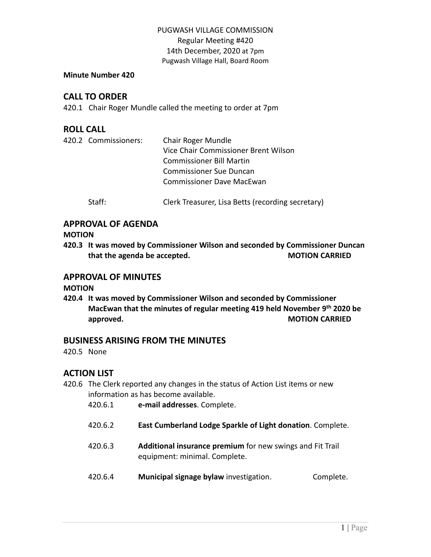#### **Minute Number 420**

# **CALL TO ORDER**

420.1 Chair Roger Mundle called the meeting to order at 7pm

## **ROLL CALL**

|  | 420.2 Commissioners: | Chair Roger Mundle                   |  |  |
|--|----------------------|--------------------------------------|--|--|
|  |                      | Vice Chair Commissioner Brent Wilson |  |  |
|  |                      | <b>Commissioner Bill Martin</b>      |  |  |
|  |                      | Commissioner Sue Duncan              |  |  |
|  |                      | Commissioner Dave MacEwan            |  |  |
|  |                      |                                      |  |  |

Staff: Clerk Treasurer, Lisa Betts (recording secretary)

## **APPROVAL OF AGENDA**

**MOTION**

**420.3 It was moved by Commissioner Wilson and seconded by Commissioner Duncan that the agenda be accepted. MOTION CARRIED**

### **APPROVAL OF MINUTES**

**MOTION**

**420.4 It was moved by Commissioner Wilson and seconded by Commissioner MacEwan that the minutes of regular meeting 419 held November 9 th 2020 be approved. MOTION CARRIED** 

# **BUSINESS ARISING FROM THE MINUTES**

420.5 None

# **ACTION LIST**

420.6 The Clerk reported any changes in the status of Action List items or new information as has become available.

| 420.6.1 | e-mail addresses. Complete. |  |
|---------|-----------------------------|--|
|---------|-----------------------------|--|

- 420.6.2 **East Cumberland Lodge Sparkle of Light donation**. Complete.
- 420.6.3 **Additional insurance premium** for new swings and Fit Trail equipment: minimal. Complete.
- 420.6.4 **Municipal signage bylaw** investigation. Complete.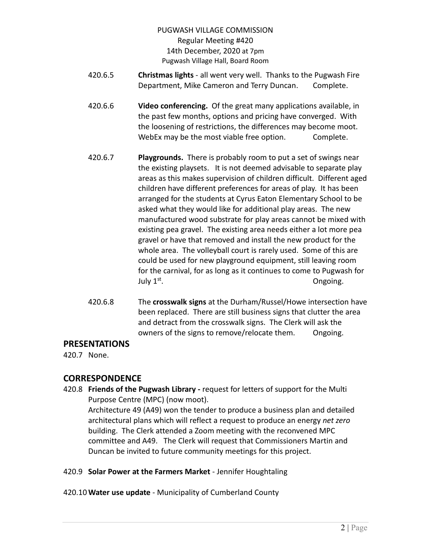- 420.6.5 **Christmas lights** all went very well. Thanks to the Pugwash Fire Department, Mike Cameron and Terry Duncan. Complete.
- 420.6.6 **Video conferencing.** Of the great many applications available, in the past few months, options and pricing have converged. With the loosening of restrictions, the differences may become moot. WebEx may be the most viable free option. Complete.
- 420.6.7 **Playgrounds.** There is probably room to put a set of swings near the existing playsets. It is not deemed advisable to separate play areas as this makes supervision of children difficult. Different aged children have different preferences for areas of play. It has been arranged for the students at Cyrus Eaton Elementary School to be asked what they would like for additional play areas. The new manufactured wood substrate for play areas cannot be mixed with existing pea gravel. The existing area needs either a lot more pea gravel or have that removed and install the new product for the whole area. The volleyball court is rarely used. Some of this are could be used for new playground equipment, still leaving room for the carnival, for as long as it continues to come to Pugwash for July 1 st . Ongoing.
- 420.6.8 The **crosswalk signs** at the Durham/Russel/Howe intersection have been replaced. There are still business signs that clutter the area and detract from the crosswalk signs. The Clerk will ask the owners of the signs to remove/relocate them. Ongoing.

### **PRESENTATIONS**

420.7 None.

# **CORRESPONDENCE**

- 420.8 **Friends of the Pugwash Library -** request for letters of support for the Multi Purpose Centre (MPC) (now moot). Architecture 49 (A49) won the tender to produce a business plan and detailed architectural plans which will reflect a request to produce an energy *net zero* building. The Clerk attended a Zoom meeting with the reconvened MPC committee and A49. The Clerk will request that Commissioners Martin and Duncan be invited to future community meetings for this project.
- 420.9 **Solar Power at the Farmers Market** Jennifer Houghtaling
- 420.10 **Water use update** Municipality of Cumberland County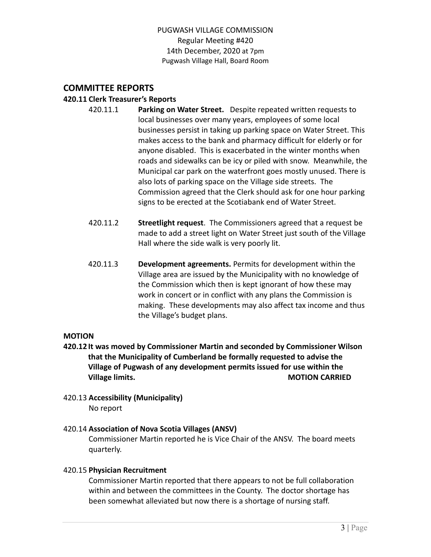# **COMMITTEE REPORTS**

#### **420.11 Clerk Treasurer's Reports**

- 420.11.1 **Parking on Water Street.** Despite repeated written requests to local businesses over many years, employees of some local businesses persist in taking up parking space on Water Street. This makes access to the bank and pharmacy difficult for elderly or for anyone disabled. This is exacerbated in the winter months when roads and sidewalks can be icy or piled with snow. Meanwhile, the Municipal car park on the waterfront goes mostly unused. There is also lots of parking space on the Village side streets. The Commission agreed that the Clerk should ask for one hour parking signs to be erected at the Scotiabank end of Water Street.
	- 420.11.2 **Streetlight request**. The Commissioners agreed that a request be made to add a street light on Water Street just south of the Village Hall where the side walk is very poorly lit.
- 420.11.3 **Development agreements.** Permits for development within the Village area are issued by the Municipality with no knowledge of the Commission which then is kept ignorant of how these may work in concert or in conflict with any plans the Commission is making. These developments may also affect tax income and thus the Village's budget plans.

#### **MOTION**

- **420.12 It was moved by Commissioner Martin and seconded by Commissioner Wilson that the Municipality of Cumberland be formally requested to advise the Village of Pugwash of any development permits issued for use within the Village limits. MOTION CARRIED**
- 420.13 **Accessibility (Municipality)** No report

### 420.14 **Association of Nova Scotia Villages (ANSV)**

Commissioner Martin reported he is Vice Chair of the ANSV. The board meets quarterly.

### 420.15 **Physician Recruitment**

Commissioner Martin reported that there appears to not be full collaboration within and between the committees in the County. The doctor shortage has been somewhat alleviated but now there is a shortage of nursing staff.